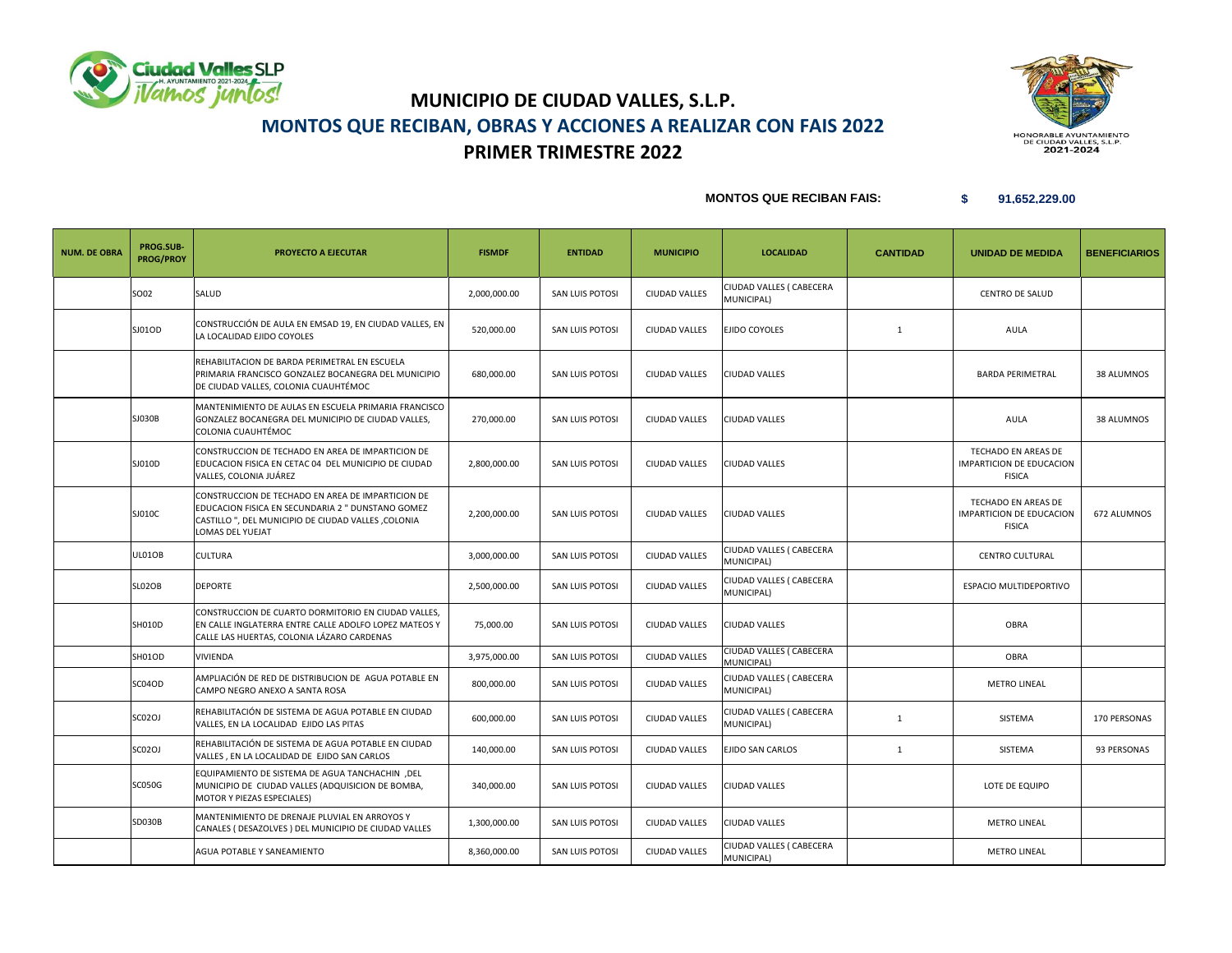



### **MONTOS QUE RECIBAN FAIS:**

| <b>NUM. DE OBRA</b> | PROG.SUB-<br><b>PROG/PROY</b> | PROYECTO A EJECUTAR                                                                                                                                                               | <b>FISMDF</b> | <b>ENTIDAD</b>  | <b>MUNICIPIO</b>     | <b>LOCALIDAD</b>                       | <b>CANTIDAD</b> | <b>UNIDAD DE MEDIDA</b>                                          | <b>BENEFICIARIOS</b> |
|---------------------|-------------------------------|-----------------------------------------------------------------------------------------------------------------------------------------------------------------------------------|---------------|-----------------|----------------------|----------------------------------------|-----------------|------------------------------------------------------------------|----------------------|
|                     | SO02                          | SALUD                                                                                                                                                                             | 2,000,000.00  | SAN LUIS POTOSI | <b>CIUDAD VALLES</b> | CIUDAD VALLES ( CABECERA<br>MUNICIPAL) |                 | <b>CENTRO DE SALUD</b>                                           |                      |
|                     | SJ01OD                        | CONSTRUCCIÓN DE AULA EN EMSAD 19, EN CIUDAD VALLES, EN<br>LA LOCALIDAD EJIDO COYOLES                                                                                              | 520,000.00    | SAN LUIS POTOSI | <b>CIUDAD VALLES</b> | EJIDO COYOLES                          | $\mathbf{1}$    | AULA                                                             |                      |
|                     |                               | REHABILITACION DE BARDA PERIMETRAL EN ESCUELA<br>PRIMARIA FRANCISCO GONZALEZ BOCANEGRA DEL MUNICIPIO<br>DE CIUDAD VALLES, COLONIA CUAUHTÉMOC                                      | 680,000.00    | SAN LUIS POTOSI | <b>CIUDAD VALLES</b> | CIUDAD VALLES                          |                 | <b>BARDA PERIMETRAL</b>                                          | 38 ALUMNOS           |
|                     | SJ030B                        | MANTENIMIENTO DE AULAS EN ESCUELA PRIMARIA FRANCISCO<br>GONZALEZ BOCANEGRA DEL MUNICIPIO DE CIUDAD VALLES,<br>COLONIA CUAUHTÉMOC                                                  | 270,000.00    | SAN LUIS POTOSI | <b>CIUDAD VALLES</b> | <b>CIUDAD VALLES</b>                   |                 | AULA                                                             | 38 ALUMNOS           |
|                     | SJ010D                        | CONSTRUCCION DE TECHADO EN AREA DE IMPARTICION DE<br>EDUCACION FISICA EN CETAC 04 DEL MUNICIPIO DE CIUDAD<br>VALLES, COLONIA JUÁREZ                                               | 2,800,000.00  | SAN LUIS POTOSI | <b>CIUDAD VALLES</b> | <b>CIUDAD VALLES</b>                   |                 | TECHADO EN AREAS DE<br>IMPARTICION DE EDUCACION<br><b>FISICA</b> |                      |
|                     | SJ010C                        | CONSTRUCCION DE TECHADO EN AREA DE IMPARTICION DE<br>EDUCACION FISICA EN SECUNDARIA 2 " DUNSTANO GOMEZ<br>CASTILLO ", DEL MUNICIPIO DE CIUDAD VALLES ,COLONIA<br>LOMAS DEL YUEJAT | 2,200,000.00  | SAN LUIS POTOSI | <b>CIUDAD VALLES</b> | <b>CIUDAD VALLES</b>                   |                 | TECHADO EN AREAS DE<br>IMPARTICION DE EDUCACION<br><b>FISICA</b> | 672 ALUMNOS          |
|                     | <b>UL01OB</b>                 | CULTURA                                                                                                                                                                           | 3,000,000.00  | SAN LUIS POTOSI | <b>CIUDAD VALLES</b> | CIUDAD VALLES ( CABECERA<br>MUNICIPAL) |                 | CENTRO CULTURAL                                                  |                      |
|                     | SLO2OB                        | <b>DEPORTE</b>                                                                                                                                                                    | 2,500,000.00  | SAN LUIS POTOSI | <b>CIUDAD VALLES</b> | CIUDAD VALLES ( CABECERA<br>MUNICIPAL) |                 | ESPACIO MULTIDEPORTIVO                                           |                      |
|                     | SH010D                        | CONSTRUCCION DE CUARTO DORMITORIO EN CIUDAD VALLES,<br>EN CALLE INGLATERRA ENTRE CALLE ADOLFO LOPEZ MATEOS Y<br>CALLE LAS HUERTAS, COLONIA LÁZARO CARDENAS                        | 75,000.00     | SAN LUIS POTOSI | <b>CIUDAD VALLES</b> | <b>CIUDAD VALLES</b>                   |                 | OBRA                                                             |                      |
|                     | SH01OD                        | VIVIENDA                                                                                                                                                                          | 3,975,000.00  | SAN LUIS POTOSI | <b>CIUDAD VALLES</b> | CIUDAD VALLES ( CABECERA<br>MUNICIPAL) |                 | OBRA                                                             |                      |
|                     | SC04OD                        | AMPLIACIÓN DE RED DE DISTRIBUCION DE AGUA POTABLE EN<br>CAMPO NEGRO ANEXO A SANTA ROSA                                                                                            | 800,000.00    | SAN LUIS POTOSI | <b>CIUDAD VALLES</b> | CIUDAD VALLES ( CABECERA<br>MUNICIPAL) |                 | <b>METRO LINEAL</b>                                              |                      |
|                     | <b>SC02OJ</b>                 | REHABILITACIÓN DE SISTEMA DE AGUA POTABLE EN CIUDAD<br>VALLES, EN LA LOCALIDAD EJIDO LAS PITAS                                                                                    | 600,000.00    | SAN LUIS POTOSI | <b>CIUDAD VALLES</b> | CIUDAD VALLES ( CABECERA<br>MUNICIPAL) | 1               | SISTEMA                                                          | 170 PERSONAS         |
|                     | SC02OJ                        | REHABILITACIÓN DE SISTEMA DE AGUA POTABLE EN CIUDAD<br>VALLES, EN LA LOCALIDAD DE EJIDO SAN CARLOS                                                                                | 140,000.00    | SAN LUIS POTOSI | <b>CIUDAD VALLES</b> | EJIDO SAN CARLOS                       | $\mathbf{1}$    | SISTEMA                                                          | 93 PERSONAS          |
|                     | <b>SC050G</b>                 | EQUIPAMIENTO DE SISTEMA DE AGUA TANCHACHIN, DEL<br>MUNICIPIO DE CIUDAD VALLES (ADQUISICION DE BOMBA,<br>MOTOR Y PIEZAS ESPECIALES)                                                | 340,000.00    | SAN LUIS POTOSI | <b>CIUDAD VALLES</b> | CIUDAD VALLES                          |                 | LOTE DE EQUIPO                                                   |                      |
|                     | <b>SD030B</b>                 | MANTENIMIENTO DE DRENAJE PLUVIAL EN ARROYOS Y<br>CANALES (DESAZOLVES) DEL MUNICIPIO DE CIUDAD VALLES                                                                              | 1,300,000.00  | SAN LUIS POTOSI | <b>CIUDAD VALLES</b> | CIUDAD VALLES                          |                 | <b>METRO LINEAL</b>                                              |                      |
|                     |                               | AGUA POTABLE Y SANEAMIENTO                                                                                                                                                        | 8,360,000.00  | SAN LUIS POTOSI | <b>CIUDAD VALLES</b> | CIUDAD VALLES ( CABECERA<br>MUNICIPAL) |                 | <b>METRO LINEAL</b>                                              |                      |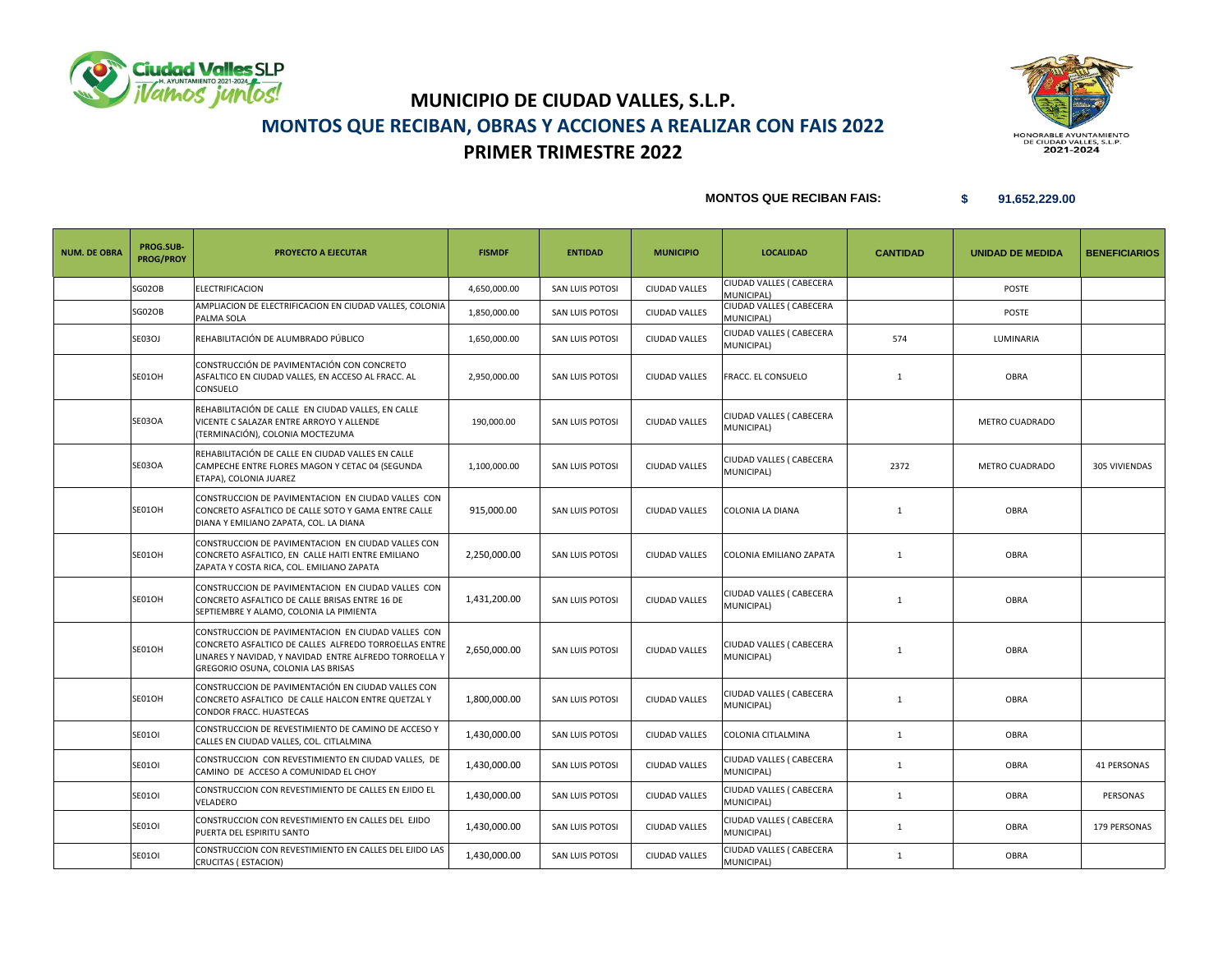



#### **MONTOS QUE RECIBAN FAIS:**

| <b>NUM. DE OBRA</b> | PROG.SUB-<br><b>PROG/PROY</b> | <b>PROYECTO A EJECUTAR</b>                                                                                                                                                                                  | <b>FISMDF</b> | <b>ENTIDAD</b>  | <b>MUNICIPIO</b>     | <b>LOCALIDAD</b>                       | <b>CANTIDAD</b> | <b>UNIDAD DE MEDIDA</b> | <b>BENEFICIARIOS</b> |
|---------------------|-------------------------------|-------------------------------------------------------------------------------------------------------------------------------------------------------------------------------------------------------------|---------------|-----------------|----------------------|----------------------------------------|-----------------|-------------------------|----------------------|
|                     | SG02OB                        | <b>ELECTRIFICACION</b>                                                                                                                                                                                      | 4,650,000.00  | SAN LUIS POTOSI | CIUDAD VALLES        | CIUDAD VALLES ( CABECERA<br>MUNICIPAL) |                 | <b>POSTE</b>            |                      |
|                     | SG02OB                        | AMPLIACION DE ELECTRIFICACION EN CIUDAD VALLES, COLONIA<br>PALMA SOLA                                                                                                                                       | 1,850,000.00  | SAN LUIS POTOSI | <b>CIUDAD VALLES</b> | CIUDAD VALLES ( CABECERA<br>MUNICIPAL) |                 | <b>POSTE</b>            |                      |
|                     | SE03OJ                        | REHABILITACIÓN DE ALUMBRADO PÚBLICO                                                                                                                                                                         | 1,650,000.00  | SAN LUIS POTOSI | <b>CIUDAD VALLES</b> | CIUDAD VALLES ( CABECERA<br>MUNICIPAL) | 574             | LUMINARIA               |                      |
|                     | SE01OH                        | CONSTRUCCIÓN DE PAVIMENTACIÓN CON CONCRETO<br>ASFALTICO EN CIUDAD VALLES, EN ACCESO AL FRACC. AL<br>CONSUELO                                                                                                | 2,950,000.00  | SAN LUIS POTOSI | <b>CIUDAD VALLES</b> | FRACC. EL CONSUELO                     | $\mathbf{1}$    | <b>OBRA</b>             |                      |
|                     | SE03OA                        | REHABILITACIÓN DE CALLE EN CIUDAD VALLES, EN CALLE<br>VICENTE C SALAZAR ENTRE ARROYO Y ALLENDE<br>(TERMINACIÓN), COLONIA MOCTEZUMA                                                                          | 190,000.00    | SAN LUIS POTOSI | <b>CIUDAD VALLES</b> | CIUDAD VALLES ( CABECERA<br>MUNICIPAL) |                 | METRO CUADRADO          |                      |
|                     | SE03OA                        | REHABILITACIÓN DE CALLE EN CIUDAD VALLES EN CALLE<br>CAMPECHE ENTRE FLORES MAGON Y CETAC 04 (SEGUNDA<br>ETAPA), COLONIA JUAREZ                                                                              | 1,100,000.00  | SAN LUIS POTOSI | <b>CIUDAD VALLES</b> | CIUDAD VALLES ( CABECERA<br>MUNICIPAL) | 2372            | METRO CUADRADO          | 305 VIVIENDAS        |
|                     | SE01OH                        | CONSTRUCCION DE PAVIMENTACION EN CIUDAD VALLES CON<br>CONCRETO ASFALTICO DE CALLE SOTO Y GAMA ENTRE CALLE<br>DIANA Y EMILIANO ZAPATA, COL. LA DIANA                                                         | 915,000.00    | SAN LUIS POTOSI | <b>CIUDAD VALLES</b> | COLONIA LA DIANA                       | $\mathbf{1}$    | <b>OBRA</b>             |                      |
|                     | SE01OH                        | CONSTRUCCION DE PAVIMENTACION EN CIUDAD VALLES CON<br>CONCRETO ASFALTICO, EN CALLE HAITI ENTRE EMILIANO<br>ZAPATA Y COSTA RICA, COL. EMILIANO ZAPATA                                                        | 2,250,000.00  | SAN LUIS POTOSI | <b>CIUDAD VALLES</b> | COLONIA EMILIANO ZAPATA                | 1               | OBRA                    |                      |
|                     | SE01OH                        | CONSTRUCCION DE PAVIMENTACION EN CIUDAD VALLES CON<br>CONCRETO ASFALTICO DE CALLE BRISAS ENTRE 16 DE<br>SEPTIEMBRE Y ALAMO, COLONIA LA PIMIENTA                                                             | 1,431,200.00  | SAN LUIS POTOSI | <b>CIUDAD VALLES</b> | CIUDAD VALLES ( CABECERA<br>MUNICIPAL) | $\mathbf{1}$    | OBRA                    |                      |
|                     | SE01OH                        | CONSTRUCCION DE PAVIMENTACION EN CIUDAD VALLES CON<br>CONCRETO ASFALTICO DE CALLES ALFREDO TORROELLAS ENTRE<br>LINARES Y NAVIDAD, Y NAVIDAD ENTRE ALFREDO TORROELLA Y<br>GREGORIO OSUNA, COLONIA LAS BRISAS | 2,650,000.00  | SAN LUIS POTOSI | <b>CIUDAD VALLES</b> | CIUDAD VALLES ( CABECERA<br>MUNICIPAL) | $\mathbf{1}$    | <b>OBRA</b>             |                      |
|                     | SE01OH                        | CONSTRUCCION DE PAVIMENTACIÓN EN CIUDAD VALLES CON<br>CONCRETO ASFALTICO DE CALLE HALCON ENTRE QUETZAL Y<br>CONDOR FRACC. HUASTECAS                                                                         | 1,800,000.00  | SAN LUIS POTOSI | <b>CIUDAD VALLES</b> | CIUDAD VALLES ( CABECERA<br>MUNICIPAL) | $\mathbf{1}$    | OBRA                    |                      |
|                     | SE01OI                        | CONSTRUCCION DE REVESTIMIENTO DE CAMINO DE ACCESO Y<br>CALLES EN CIUDAD VALLES, COL. CITLALMINA                                                                                                             | 1,430,000.00  | SAN LUIS POTOSI | <b>CIUDAD VALLES</b> | COLONIA CITLALMINA                     | 1               | <b>OBRA</b>             |                      |
|                     | SE01OI                        | CONSTRUCCION CON REVESTIMIENTO EN CIUDAD VALLES, DE<br>CAMINO DE ACCESO A COMUNIDAD EL CHOY                                                                                                                 | 1,430,000.00  | SAN LUIS POTOSI | <b>CIUDAD VALLES</b> | CIUDAD VALLES ( CABECERA<br>MUNICIPAL) | 1               | OBRA                    | 41 PERSONAS          |
|                     | <b>SE01OI</b>                 | CONSTRUCCION CON REVESTIMIENTO DE CALLES EN EJIDO EL<br>VELADERO                                                                                                                                            | 1,430,000.00  | SAN LUIS POTOSI | <b>CIUDAD VALLES</b> | CIUDAD VALLES ( CABECERA<br>MUNICIPAL) | $\mathbf{1}$    | OBRA                    | PERSONAS             |
|                     | SE01OI                        | CONSTRUCCION CON REVESTIMIENTO EN CALLES DEL EJIDO<br>PUERTA DEL ESPIRITU SANTO                                                                                                                             | 1,430,000.00  | SAN LUIS POTOSI | <b>CIUDAD VALLES</b> | CIUDAD VALLES ( CABECERA<br>MUNICIPAL) | 1               | OBRA                    | 179 PERSONAS         |
|                     | <b>SE01OI</b>                 | CONSTRUCCION CON REVESTIMIENTO EN CALLES DEL EJIDO LAS<br>CRUCITAS (ESTACION)                                                                                                                               | 1,430,000.00  | SAN LUIS POTOSI | <b>CIUDAD VALLES</b> | CIUDAD VALLES ( CABECERA<br>MUNICIPAL) | $\mathbf{1}$    | OBRA                    |                      |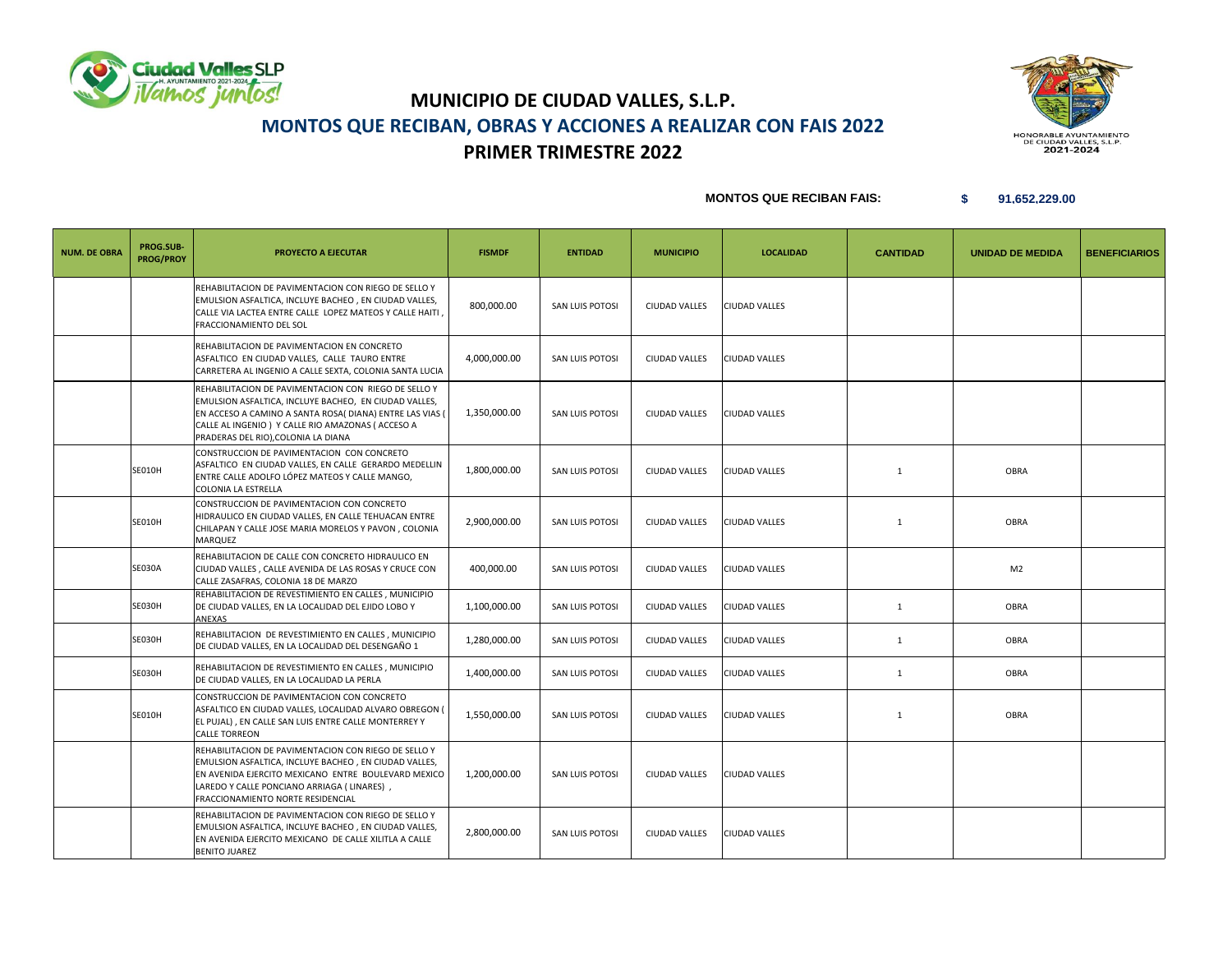



 **MONTOS QUE RECIBAN FAIS:** 

| <b>NUM. DE OBRA</b> | PROG.SUB-<br><b>PROG/PROY</b> | <b>PROYECTO A EJECUTAR</b>                                                                                                                                                                                                                                          | <b>FISMDF</b> | <b>ENTIDAD</b>  | <b>MUNICIPIO</b>     | <b>LOCALIDAD</b>     | <b>CANTIDAD</b> | <b>UNIDAD DE MEDIDA</b> | <b>BENEFICIARIOS</b> |
|---------------------|-------------------------------|---------------------------------------------------------------------------------------------------------------------------------------------------------------------------------------------------------------------------------------------------------------------|---------------|-----------------|----------------------|----------------------|-----------------|-------------------------|----------------------|
|                     |                               | REHABILITACION DE PAVIMENTACION CON RIEGO DE SELLO Y<br>EMULSION ASFALTICA, INCLUYE BACHEO, EN CIUDAD VALLES,<br>CALLE VIA LACTEA ENTRE CALLE LOPEZ MATEOS Y CALLE HAITI<br>FRACCIONAMIENTO DEL SOL                                                                 | 800,000.00    | SAN LUIS POTOSI | <b>CIUDAD VALLES</b> | <b>CIUDAD VALLES</b> |                 |                         |                      |
|                     |                               | REHABILITACION DE PAVIMENTACION EN CONCRETO<br>ASFALTICO EN CIUDAD VALLES, CALLE TAURO ENTRE<br>CARRETERA AL INGENIO A CALLE SEXTA, COLONIA SANTA LUCIA                                                                                                             | 4,000,000.00  | SAN LUIS POTOSI | <b>CIUDAD VALLES</b> | <b>CIUDAD VALLES</b> |                 |                         |                      |
|                     |                               | REHABILITACION DE PAVIMENTACION CON RIEGO DE SELLO Y<br>EMULSION ASFALTICA, INCLUYE BACHEO, EN CIUDAD VALLES,<br>EN ACCESO A CAMINO A SANTA ROSA(DIANA) ENTRE LAS VIAS (<br>CALLE AL INGENIO) Y CALLE RIO AMAZONAS (ACCESO A<br>PRADERAS DEL RIO), COLONIA LA DIANA | 1,350,000.00  | SAN LUIS POTOSI | <b>CIUDAD VALLES</b> | <b>CIUDAD VALLES</b> |                 |                         |                      |
|                     | SE010H                        | CONSTRUCCION DE PAVIMENTACION CON CONCRETO<br>ASFALTICO EN CIUDAD VALLES, EN CALLE GERARDO MEDELLIN<br>ENTRE CALLE ADOLFO LÓPEZ MATEOS Y CALLE MANGO,<br>COLONIA LA ESTRELLA                                                                                        | 1,800,000.00  | SAN LUIS POTOSI | <b>CIUDAD VALLES</b> | <b>CIUDAD VALLES</b> | $\mathbf{1}$    | OBRA                    |                      |
|                     | SE010H                        | CONSTRUCCION DE PAVIMENTACION CON CONCRETO<br>HIDRAULICO EN CIUDAD VALLES, EN CALLE TEHUACAN ENTRE<br>CHILAPAN Y CALLE JOSE MARIA MORELOS Y PAVON, COLONIA<br>MARQUEZ                                                                                               | 2,900,000.00  | SAN LUIS POTOSI | <b>CIUDAD VALLES</b> | <b>CIUDAD VALLES</b> | $\mathbf{1}$    | OBRA                    |                      |
|                     | <b>SE030A</b>                 | REHABILITACION DE CALLE CON CONCRETO HIDRAULICO EN<br>CIUDAD VALLES, CALLE AVENIDA DE LAS ROSAS Y CRUCE CON<br>CALLE ZASAFRAS, COLONIA 18 DE MARZO                                                                                                                  | 400,000.00    | SAN LUIS POTOSI | <b>CIUDAD VALLES</b> | <b>CIUDAD VALLES</b> |                 | M <sub>2</sub>          |                      |
|                     | SE030H                        | REHABILITACION DE REVESTIMIENTO EN CALLES, MUNICIPIO<br>DE CIUDAD VALLES, EN LA LOCALIDAD DEL EJIDO LOBO Y<br>ANEXAS                                                                                                                                                | 1,100,000.00  | SAN LUIS POTOSI | <b>CIUDAD VALLES</b> | <b>CIUDAD VALLES</b> | 1               | OBRA                    |                      |
|                     | SE030H                        | REHABILITACION DE REVESTIMIENTO EN CALLES, MUNICIPIO<br>DE CIUDAD VALLES, EN LA LOCALIDAD DEL DESENGAÑO 1                                                                                                                                                           | 1,280,000.00  | SAN LUIS POTOSI | <b>CIUDAD VALLES</b> | <b>CIUDAD VALLES</b> | $\mathbf{1}$    | OBRA                    |                      |
|                     | SE030H                        | REHABILITACION DE REVESTIMIENTO EN CALLES, MUNICIPIO<br>DE CIUDAD VALLES, EN LA LOCALIDAD LA PERLA                                                                                                                                                                  | 1,400,000.00  | SAN LUIS POTOSI | <b>CIUDAD VALLES</b> | CIUDAD VALLES        | 1               | OBRA                    |                      |
|                     | <b>SE010H</b>                 | CONSTRUCCION DE PAVIMENTACION CON CONCRETO<br>ASFALTICO EN CIUDAD VALLES, LOCALIDAD ALVARO OBREGON (<br>EL PUJAL), EN CALLE SAN LUIS ENTRE CALLE MONTERREY Y<br><b>CALLE TORREON</b>                                                                                | 1,550,000.00  | SAN LUIS POTOSI | <b>CIUDAD VALLES</b> | <b>CIUDAD VALLES</b> | 1               | OBRA                    |                      |
|                     |                               | REHABILITACION DE PAVIMENTACION CON RIEGO DE SELLO Y<br>EMULSION ASFALTICA, INCLUYE BACHEO, EN CIUDAD VALLES,<br>EN AVENIDA EJERCITO MEXICANO ENTRE BOULEVARD MEXICO<br>LAREDO Y CALLE PONCIANO ARRIAGA ( LINARES),<br>FRACCIONAMIENTO NORTE RESIDENCIAL            | 1,200,000.00  | SAN LUIS POTOSI | <b>CIUDAD VALLES</b> | <b>CIUDAD VALLES</b> |                 |                         |                      |
|                     |                               | REHABILITACION DE PAVIMENTACION CON RIEGO DE SELLO Y<br>EMULSION ASFALTICA, INCLUYE BACHEO, EN CIUDAD VALLES,<br>EN AVENIDA EJERCITO MEXICANO DE CALLE XILITLA A CALLE<br><b>BENITO JUAREZ</b>                                                                      | 2,800,000.00  | SAN LUIS POTOSI | <b>CIUDAD VALLES</b> | <b>CIUDAD VALLES</b> |                 |                         |                      |